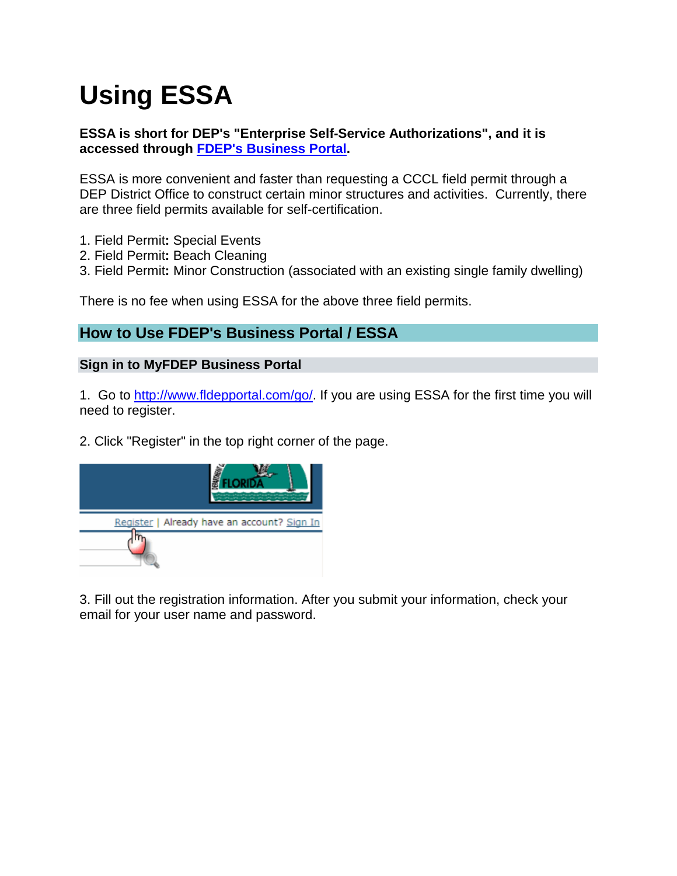# **Using ESSA**

### **ESSA is short for DEP's "Enterprise Self-Service Authorizations", and it is accessed through [FDEP's Business Portal.](http://www.fldepportal.com/go/)**

ESSA is more convenient and faster than requesting a CCCL field permit through a DEP District Office to construct certain minor structures and activities. Currently, there are three field permits available for self-certification.

- 1. Field Permit**:** Special Events
- 2. Field Permit**:** Beach Cleaning
- 3. Field Permit**:** Minor Construction (associated with an existing single family dwelling)

There is no fee when using ESSA for the above three field permits.

# **How to Use FDEP's Business Portal / ESSA**

#### **Sign in to MyFDEP Business Portal**

1. Go to [http://www.fldepportal.com/go/.](http://www.fldepportal.com/go/) If you are using ESSA for the first time you will need to register.

2. Click "Register" in the top right corner of the page.



3. Fill out the registration information. After you submit your information, check your email for your user name and password.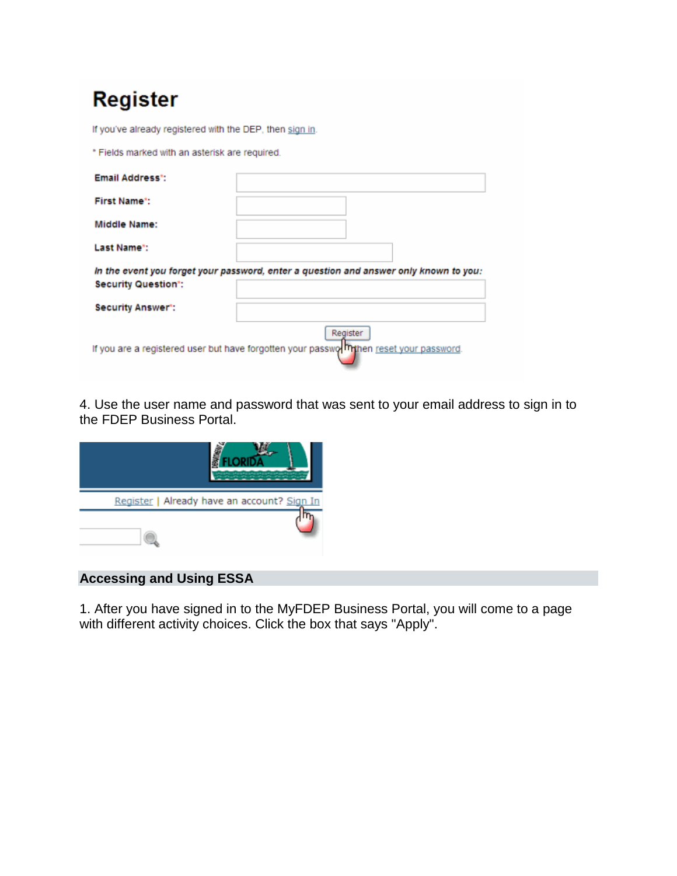| Register |  |  |  |  |  |
|----------|--|--|--|--|--|
|----------|--|--|--|--|--|

| 1.9.9.0.01                                               |                                                                                                    |
|----------------------------------------------------------|----------------------------------------------------------------------------------------------------|
| If you've already registered with the DEP, then sign in. |                                                                                                    |
| * Fields marked with an asterisk are required.           |                                                                                                    |
| Email Address*:                                          |                                                                                                    |
| <b>First Name*:</b>                                      |                                                                                                    |
| Middle Name:                                             |                                                                                                    |
| Last Name*:                                              |                                                                                                    |
| <b>Security Question*:</b>                               | In the event you forget your password, enter a question and answer only known to you:              |
| <b>Security Answer*:</b>                                 |                                                                                                    |
|                                                          | Register<br>If you are a registered user but have forgotten your passwo minen reset your password. |

4. Use the user name and password that was sent to your email address to sign in to the FDEP Business Portal.



## **Accessing and Using ESSA**

1. After you have signed in to the MyFDEP Business Portal, you will come to a page with different activity choices. Click the box that says "Apply".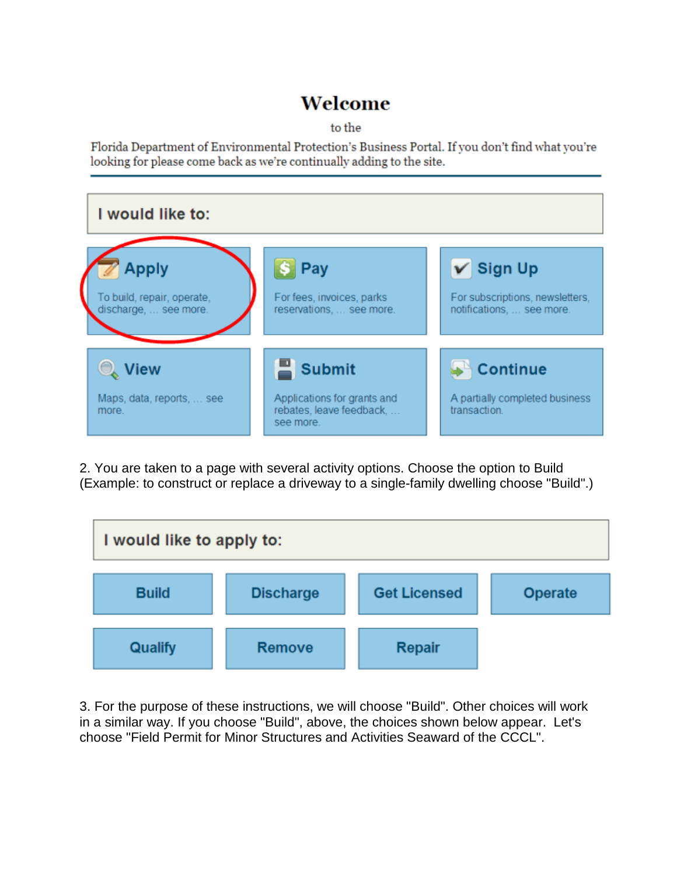# Welcome

to the

Florida Department of Environmental Protection's Business Portal. If you don't find what you're looking for please come back as we're continually adding to the site.



2. You are taken to a page with several activity options. Choose the option to Build (Example: to construct or replace a driveway to a single-family dwelling choose "Build".)

![](_page_2_Figure_5.jpeg)

3. For the purpose of these instructions, we will choose "Build". Other choices will work in a similar way. If you choose "Build", above, the choices shown below appear. Let's choose "Field Permit for Minor Structures and Activities Seaward of the CCCL".